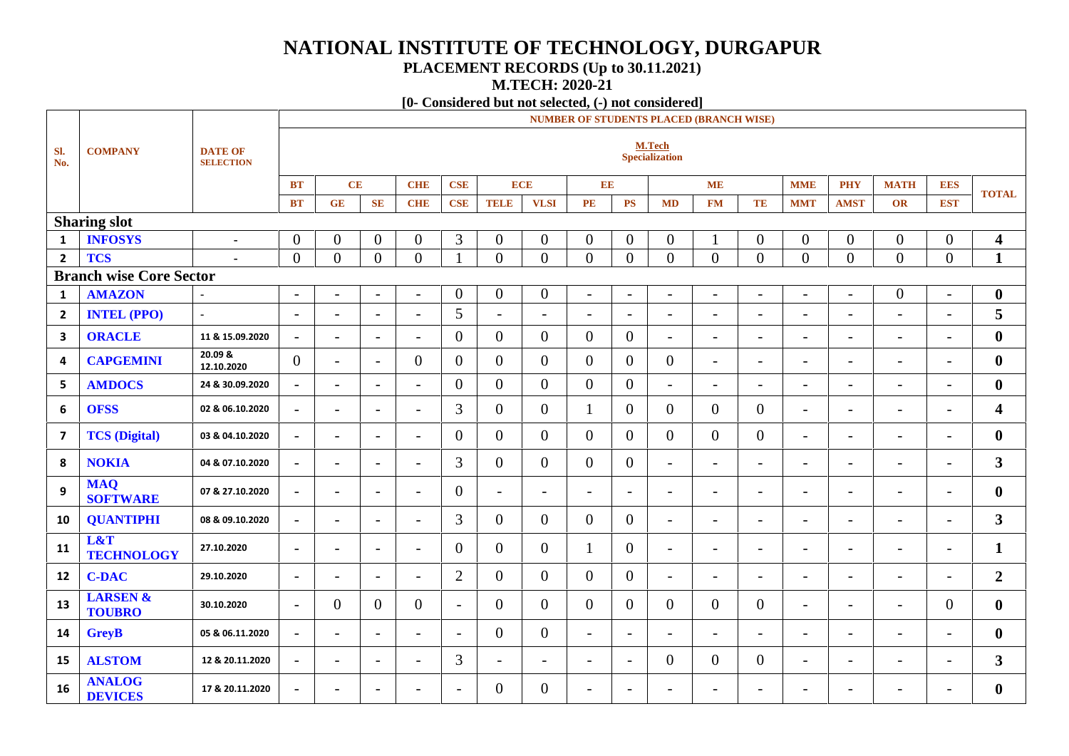# **NATIONAL INSTITUTE OF TECHNOLOGY, DURGAPUR**

### **PLACEMENT RECORDS (Up to 30.11.2021)**

**M.TECH: 2020-21**

### **[0- Considered but not selected, (-) not considered]**

|                |                                      |                                    | <b>NUMBER OF STUDENTS PLACED (BRANCH WISE)</b> |                          |                          |                          |                          |                          |                          |                          |                          |                          |                          |                          |                          |                          |                          |                          |                         |
|----------------|--------------------------------------|------------------------------------|------------------------------------------------|--------------------------|--------------------------|--------------------------|--------------------------|--------------------------|--------------------------|--------------------------|--------------------------|--------------------------|--------------------------|--------------------------|--------------------------|--------------------------|--------------------------|--------------------------|-------------------------|
| SI.<br>No.     | <b>COMPANY</b>                       | <b>DATE OF</b><br><b>SELECTION</b> |                                                |                          |                          |                          |                          |                          |                          |                          |                          | M.Tech<br>Specialization |                          |                          |                          |                          |                          |                          |                         |
|                |                                      |                                    | BT                                             | CE                       |                          | <b>CHE</b>               | <b>CSE</b>               |                          | <b>ECE</b>               | E E                      |                          |                          | <b>ME</b>                |                          | <b>MME</b>               | <b>PHY</b>               | <b>MATH</b>              | <b>EES</b>               | <b>TOTAL</b>            |
|                |                                      |                                    | <b>BT</b>                                      | GE                       | SE                       | <b>CHE</b>               | <b>CSE</b>               | <b>TELE</b>              | <b>VLSI</b>              | PE                       | PS                       | <b>MD</b>                | <b>FM</b>                | TE                       | <b>MMT</b>               | <b>AMST</b>              | OR                       | <b>EST</b>               |                         |
|                | <b>Sharing slot</b>                  |                                    |                                                |                          |                          |                          |                          |                          |                          |                          |                          |                          |                          |                          |                          |                          |                          |                          |                         |
| 1              | <b>INFOSYS</b>                       | $\blacksquare$                     | $\mathbf{0}$                                   | $\overline{0}$           | $\overline{0}$           | $\boldsymbol{0}$         | 3                        | $\boldsymbol{0}$         | $\overline{0}$           | $\overline{0}$           | $\overline{0}$           | $\overline{0}$           |                          | $\boldsymbol{0}$         | $\overline{0}$           | $\overline{0}$           | $\boldsymbol{0}$         | $\boldsymbol{0}$         | $\overline{\mathbf{4}}$ |
| $\overline{2}$ | <b>TCS</b>                           |                                    | $\overline{0}$                                 | $\overline{0}$           | $\overline{0}$           | $\overline{0}$           |                          | $\overline{0}$           | $\overline{0}$           | $\overline{0}$           | $\overline{0}$           | $\overline{0}$           | $\overline{0}$           | $\overline{0}$           | $\overline{0}$           | $\overline{0}$           | $\overline{0}$           | $\overline{0}$           | $\mathbf{1}$            |
|                | <b>Branch wise Core Sector</b>       |                                    |                                                |                          |                          |                          |                          |                          |                          |                          |                          |                          |                          |                          |                          |                          |                          |                          |                         |
| 1              | <b>AMAZON</b>                        |                                    | $\sim$                                         | $\overline{\phantom{a}}$ | $\overline{\phantom{a}}$ | $\overline{\phantom{a}}$ | $\overline{0}$           | $\overline{0}$           | $\boldsymbol{0}$         | $\sim$                   | $\overline{\phantom{a}}$ | $\overline{\phantom{a}}$ | $\overline{\phantom{a}}$ | $\overline{\phantom{a}}$ | $\overline{\phantom{a}}$ | $\overline{\phantom{a}}$ | $\overline{0}$           | $\overline{\phantom{a}}$ | $\bf{0}$                |
| $\overline{2}$ | <b>INTEL (PPO)</b>                   | $\sim$                             | $\overline{\phantom{a}}$                       | $\overline{\phantom{a}}$ | $\overline{\phantom{a}}$ | $\overline{\phantom{a}}$ | 5                        | $\sim$                   | $\overline{\phantom{a}}$ | $\blacksquare$           | $\overline{\phantom{a}}$ | $\overline{\phantom{a}}$ | $\overline{\phantom{a}}$ | $\overline{\phantom{a}}$ | $\overline{\phantom{a}}$ | $\overline{\phantom{0}}$ | $\blacksquare$           | $\blacksquare$           | 5                       |
| 3              | <b>ORACLE</b>                        | 11 & 15.09.2020                    | $\overline{\phantom{a}}$                       | $\overline{\phantom{a}}$ | $\overline{\phantom{a}}$ | $\overline{\phantom{a}}$ | $\overline{0}$           | $\overline{0}$           | $\overline{0}$           | $\mathbf{0}$             | $\overline{0}$           | $\overline{\phantom{a}}$ | $\overline{\phantom{a}}$ | $\blacksquare$           | $\overline{\phantom{a}}$ | $\overline{\phantom{a}}$ | $\overline{\phantom{a}}$ | $\overline{\phantom{a}}$ | $\boldsymbol{0}$        |
| 4              | <b>CAPGEMINI</b>                     | 20.09 &<br>12.10.2020              | $\overline{0}$                                 | $\blacksquare$           | $\blacksquare$           | $\overline{0}$           | $\overline{0}$           | $\overline{0}$           | $\overline{0}$           | $\overline{0}$           | $\theta$                 | $\overline{0}$           | $\overline{\phantom{a}}$ | $\blacksquare$           | $\overline{\phantom{a}}$ | $\overline{a}$           | $\overline{a}$           | $\blacksquare$           | $\boldsymbol{0}$        |
| 5              | <b>AMDOCS</b>                        | 24 & 30.09.2020                    | $\blacksquare$                                 | $\overline{\phantom{a}}$ | $\overline{\phantom{a}}$ | $\blacksquare$           | $\overline{0}$           | $\overline{0}$           | $\overline{0}$           | $\mathbf{0}$             | $\overline{0}$           | $\overline{\phantom{a}}$ | $\overline{\phantom{a}}$ | $\blacksquare$           | $\overline{\phantom{a}}$ | $\overline{\phantom{a}}$ | $\overline{\phantom{a}}$ | $\overline{\phantom{a}}$ | $\boldsymbol{0}$        |
| 6              | <b>OFSS</b>                          | 02 & 06.10.2020                    | $\overline{\phantom{a}}$                       | $\overline{\phantom{a}}$ | $\overline{\phantom{a}}$ | $\blacksquare$           | $\overline{3}$           | $\overline{0}$           | $\overline{0}$           | $\mathbf{1}$             | $\overline{0}$           | $\overline{0}$           | $\overline{0}$           | $\mathbf{0}$             | $\overline{\phantom{a}}$ | $\overline{\phantom{0}}$ | $\overline{\phantom{a}}$ | $\frac{1}{2}$            | 4                       |
| $\overline{7}$ | <b>TCS</b> (Digital)                 | 03 & 04.10.2020                    | $\overline{\phantom{0}}$                       | $\overline{\phantom{a}}$ | $\overline{\phantom{a}}$ | $\overline{\phantom{a}}$ | $\overline{0}$           | $\overline{0}$           | $\overline{0}$           | $\Omega$                 | $\theta$                 | $\overline{0}$           | $\overline{0}$           | $\overline{0}$           | $\overline{\phantom{0}}$ | $\overline{\phantom{0}}$ | $\overline{\phantom{a}}$ | $\overline{\phantom{0}}$ | $\bf{0}$                |
| 8              | <b>NOKIA</b>                         | 04 & 07.10.2020                    | $\overline{\phantom{a}}$                       | $\overline{\phantom{a}}$ | $\overline{\phantom{a}}$ | $\overline{\phantom{a}}$ | 3                        | $\overline{0}$           | $\overline{0}$           | $\overline{0}$           | $\overline{0}$           | $\overline{\phantom{a}}$ | $\overline{\phantom{a}}$ | $\overline{\phantom{a}}$ | $\overline{\phantom{a}}$ | $\overline{\phantom{0}}$ | $\overline{\phantom{a}}$ | $\overline{\phantom{a}}$ | 3 <sup>1</sup>          |
| 9              | <b>MAQ</b><br><b>SOFTWARE</b>        | 07 & 27.10.2020                    | $\overline{\phantom{a}}$                       | $\overline{\phantom{a}}$ | $\blacksquare$           | $\overline{\phantom{a}}$ | $\overline{0}$           | $\overline{\phantom{a}}$ | $\overline{\phantom{0}}$ | $\overline{\phantom{0}}$ | $\overline{\phantom{a}}$ | $\overline{a}$           | $\overline{\phantom{a}}$ | $\overline{\phantom{a}}$ | $\overline{\phantom{0}}$ | -                        | $\overline{\phantom{a}}$ | $\blacksquare$           | $\boldsymbol{0}$        |
| 10             | <b>QUANTIPHI</b>                     | 08 & 09.10.2020                    | $\overline{\phantom{a}}$                       | $\overline{\phantom{a}}$ | $\overline{\phantom{a}}$ | $\overline{\phantom{a}}$ | 3                        | $\overline{0}$           | $\overline{0}$           | $\overline{0}$           | $\overline{0}$           | $\overline{\phantom{a}}$ | $\overline{\phantom{a}}$ | $\overline{\phantom{a}}$ | $\overline{\phantom{a}}$ | $\overline{\phantom{0}}$ | $\overline{\phantom{a}}$ | $\overline{\phantom{a}}$ | 3 <sup>1</sup>          |
| 11             | L&T<br><b>TECHNOLOGY</b>             | 27.10.2020                         | $\overline{\phantom{a}}$                       | $\blacksquare$           | $\blacksquare$           | $\overline{a}$           | $\overline{0}$           | $\overline{0}$           | $\overline{0}$           | -1                       | $\overline{0}$           | $\overline{\phantom{a}}$ | $\overline{\phantom{a}}$ | $\overline{\phantom{0}}$ | $\overline{\phantom{0}}$ | $\overline{\phantom{0}}$ | $\overline{\phantom{a}}$ | $\overline{\phantom{a}}$ | $\mathbf{1}$            |
| 12             | <b>C-DAC</b>                         | 29.10.2020                         | $\overline{\phantom{a}}$                       | $\overline{\phantom{a}}$ | $\overline{\phantom{a}}$ | $\blacksquare$           | $\overline{2}$           | $\overline{0}$           | $\overline{0}$           | $\overline{0}$           | $\overline{0}$           | $\overline{\phantom{a}}$ | $\overline{\phantom{a}}$ | $\overline{\phantom{0}}$ | $\overline{\phantom{a}}$ | $\overline{\phantom{0}}$ | $\blacksquare$           | $\overline{\phantom{a}}$ | $\overline{2}$          |
| 13             | <b>LARSEN &amp;</b><br><b>TOUBRO</b> | 30.10.2020                         | $\overline{\phantom{a}}$                       | $\overline{0}$           | $\overline{0}$           | $\overline{0}$           | $\overline{\phantom{a}}$ | $\overline{0}$           | $\overline{0}$           | $\overline{0}$           | $\theta$                 | $\overline{0}$           | $\overline{0}$           | $\mathbf{0}$             | $\overline{\phantom{a}}$ | $\overline{\phantom{0}}$ | $\blacksquare$           | $\overline{0}$           | $\boldsymbol{0}$        |
| 14             | <b>GreyB</b>                         | 05 & 06.11.2020                    | $\overline{\phantom{a}}$                       | $\overline{\phantom{0}}$ | $\blacksquare$           | $\overline{\phantom{a}}$ | $\blacksquare$           | $\overline{0}$           | $\boldsymbol{0}$         | $\overline{a}$           | $\overline{\phantom{0}}$ |                          | $\overline{a}$           | $\overline{\phantom{0}}$ | $\overline{\phantom{0}}$ | $\overline{a}$           | $\overline{\phantom{0}}$ | $\overline{\phantom{a}}$ | $\boldsymbol{0}$        |
| 15             | <b>ALSTOM</b>                        | 12 & 20.11.2020                    | $\overline{\phantom{a}}$                       | $\overline{\phantom{a}}$ | $\overline{\phantom{a}}$ | $\overline{\phantom{a}}$ | 3                        | $\overline{\phantom{a}}$ | $\overline{\phantom{a}}$ | $\overline{\phantom{a}}$ | $\blacksquare$           | $\overline{0}$           | $\overline{0}$           | $\boldsymbol{0}$         | $\overline{\phantom{a}}$ | $\overline{\phantom{a}}$ | $\blacksquare$           | $\overline{\phantom{a}}$ | $\overline{\mathbf{3}}$ |
| 16             | <b>ANALOG</b><br><b>DEVICES</b>      | 17 & 20.11.2020                    | $\overline{\phantom{a}}$                       | $\overline{\phantom{a}}$ | $\overline{\phantom{0}}$ | $\overline{a}$           | $\overline{\phantom{0}}$ | $\mathbf{0}$             | $\boldsymbol{0}$         | $\overline{\phantom{0}}$ | $\overline{\phantom{0}}$ | $\overline{\phantom{0}}$ | $\overline{\phantom{0}}$ | $\overline{\phantom{0}}$ | $\overline{\phantom{0}}$ | $\overline{a}$           |                          | $\overline{a}$           | $\boldsymbol{0}$        |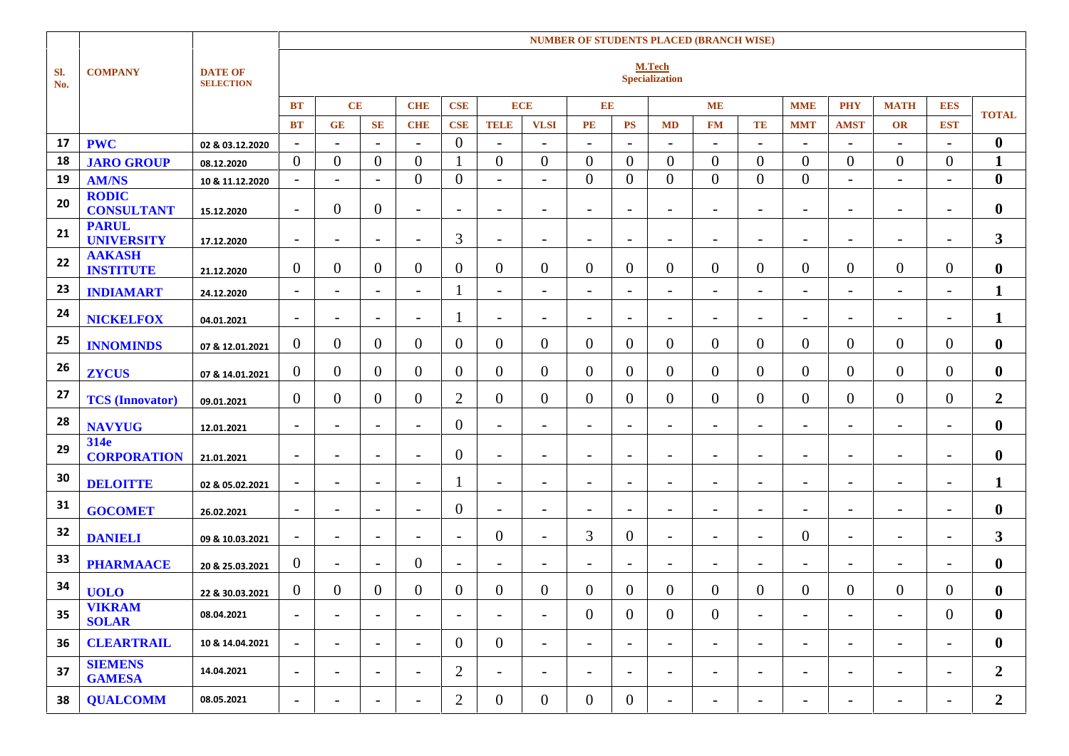|            |                                   |                                    |                          |                          |                          |                          |                          |                          |                          |                          |                          |                          | <b>NUMBER OF STUDENTS PLACED (BRANCH WISE)</b> |                          |                          |                          |                          |                          |                  |  |
|------------|-----------------------------------|------------------------------------|--------------------------|--------------------------|--------------------------|--------------------------|--------------------------|--------------------------|--------------------------|--------------------------|--------------------------|--------------------------|------------------------------------------------|--------------------------|--------------------------|--------------------------|--------------------------|--------------------------|------------------|--|
| SI.<br>No. | <b>COMPANY</b>                    | <b>DATE OF</b><br><b>SELECTION</b> |                          |                          |                          |                          |                          |                          |                          |                          |                          |                          | M.Tech<br><b>Specialization</b>                |                          |                          |                          |                          |                          |                  |  |
|            |                                   |                                    | <b>BT</b>                | CE                       |                          | <b>CHE</b>               | CSE                      | <b>ECE</b>               |                          | $\mathbf{EE}$            |                          |                          | <b>ME</b>                                      |                          | <b>MME</b>               | <b>PHY</b>               | <b>MATH</b>              | <b>EES</b>               | <b>TOTAL</b>     |  |
|            |                                   |                                    | <b>BT</b>                | <b>GE</b>                | <b>SE</b>                | <b>CHE</b>               | <b>CSE</b>               | <b>TELE</b>              | <b>VLSI</b>              | <b>PE</b>                | <b>PS</b>                | <b>MD</b>                | <b>FM</b>                                      | TE                       | <b>MMT</b>               | <b>AMST</b>              | OR                       | <b>EST</b>               |                  |  |
| 17         | <b>PWC</b>                        | 02 & 03.12.2020                    | $\sim$                   | $\sim$                   | $\overline{\phantom{a}}$ | $\sim$                   | $\boldsymbol{0}$         | $\blacksquare$           | $\overline{\phantom{a}}$ | $\overline{\phantom{a}}$ | $\overline{\phantom{a}}$ | $\overline{\phantom{a}}$ | $\overline{\phantom{a}}$                       | $\blacksquare$           | $\overline{\phantom{a}}$ | $\overline{\phantom{a}}$ | $\overline{\phantom{a}}$ | $\blacksquare$           | $\bf{0}$         |  |
| 18         | <b>JARO GROUP</b>                 | 08.12.2020                         | $\overline{0}$           | $\overline{0}$           | $\overline{0}$           | $\overline{0}$           | $\mathbf{1}$             | $\overline{0}$           | $\overline{0}$           | $\overline{0}$           | $\overline{0}$           | $\overline{0}$           | $\overline{0}$                                 | $\overline{0}$           | $\overline{0}$           | $\overline{0}$           | $\mathbf{0}$             | $\overline{0}$           | $\mathbf{1}$     |  |
| 19         | <b>AM/NS</b>                      | 10 & 11.12.2020                    | $\overline{\phantom{a}}$ | $\overline{\phantom{a}}$ | $\overline{\phantom{a}}$ | $\overline{0}$           | $\overline{0}$           | $\overline{\phantom{a}}$ | $\overline{\phantom{a}}$ | $\overline{0}$           | $\overline{0}$           | $\overline{0}$           | $\overline{0}$                                 | $\overline{0}$           | $\mathbf{0}$             | $\overline{\phantom{a}}$ | $\overline{\phantom{a}}$ | $\blacksquare$           | $\bf{0}$         |  |
| 20         | <b>RODIC</b><br><b>CONSULTANT</b> | 15.12.2020                         | $\blacksquare$           | $\boldsymbol{0}$         | $\overline{0}$           | $\blacksquare$           | $\overline{\phantom{a}}$ | $\overline{\phantom{a}}$ | $\overline{\phantom{a}}$ | $\overline{\phantom{a}}$ | $\blacksquare$           | $\overline{\phantom{a}}$ | $\overline{\phantom{a}}$                       | $\overline{\phantom{a}}$ | $\overline{\phantom{0}}$ | $\overline{\phantom{a}}$ | $\overline{\phantom{a}}$ | $\overline{\phantom{a}}$ | $\bf{0}$         |  |
| 21         | <b>PARUL</b><br><b>UNIVERSITY</b> | 17.12.2020                         | $\blacksquare$           | $\overline{\phantom{a}}$ | $\overline{\phantom{a}}$ | $\overline{\phantom{a}}$ | 3                        | $\overline{\phantom{a}}$ | $\overline{\phantom{a}}$ |                          | $\overline{\phantom{0}}$ | $\overline{\phantom{0}}$ | $\overline{\phantom{a}}$                       | $\overline{\phantom{a}}$ | $\overline{\phantom{0}}$ | $\overline{a}$           | $\overline{\phantom{a}}$ | $\overline{\phantom{0}}$ | 3 <sup>1</sup>   |  |
| 22         | <b>AAKASH</b><br><b>INSTITUTE</b> | 21.12.2020                         | $\overline{0}$           | $\boldsymbol{0}$         | $\overline{0}$           | $\overline{0}$           | $\overline{0}$           | $\overline{0}$           | $\overline{0}$           | $\overline{0}$           | $\overline{0}$           | $\overline{0}$           | $\overline{0}$                                 | $\overline{0}$           | $\overline{0}$           | $\overline{0}$           | $\theta$                 | $\overline{0}$           | $\bf{0}$         |  |
| 23         | <b>INDIAMART</b>                  | 24.12.2020                         | $\sim$                   | $\blacksquare$           | $\blacksquare$           | $\overline{\phantom{a}}$ |                          | $\overline{\phantom{a}}$ | $\overline{\phantom{a}}$ | $\overline{\phantom{a}}$ | $\equiv$                 | $\overline{\phantom{a}}$ | $\overline{\phantom{a}}$                       | $\overline{\phantom{a}}$ | $\overline{\phantom{a}}$ | $\overline{\phantom{a}}$ | $\overline{\phantom{a}}$ | $\sim$                   | $\mathbf{1}$     |  |
| 24         | <b>NICKELFOX</b>                  | 04.01.2021                         | $\blacksquare$           | $\overline{\phantom{a}}$ | $\overline{\phantom{a}}$ | $\overline{\phantom{a}}$ |                          | $\sim$                   | $\blacksquare$           | $\overline{\phantom{a}}$ | $\equiv$                 | $\overline{\phantom{a}}$ | $\overline{\phantom{a}}$                       | $\overline{\phantom{a}}$ | $\overline{\phantom{a}}$ | $\overline{\phantom{a}}$ | $\overline{\phantom{a}}$ | $\sim$                   | 1                |  |
| 25         | <b>INNOMINDS</b>                  | 07 & 12.01.2021                    | $\overline{0}$           | $\overline{0}$           | $\overline{0}$           | $\overline{0}$           | $\overline{0}$           | $\overline{0}$           | $\overline{0}$           | $\overline{0}$           | $\overline{0}$           | $\overline{0}$           | $\overline{0}$                                 | $\overline{0}$           | $\overline{0}$           | $\overline{0}$           | $\mathbf{0}$             | $\mathbf{0}$             | $\bf{0}$         |  |
| 26         | <b>ZYCUS</b>                      | 07 & 14.01.2021                    | $\overline{0}$           | $\overline{0}$           | $\overline{0}$           | $\overline{0}$           | $\overline{0}$           | $\overline{0}$           | $\overline{0}$           | $\overline{0}$           | $\mathbf{0}$             | $\mathbf{0}$             | $\overline{0}$                                 | $\overline{0}$           | $\overline{0}$           | $\overline{0}$           | $\mathbf{0}$             | $\mathbf{0}$             | $\bf{0}$         |  |
| 27         | <b>TCS</b> (Innovator)            | 09.01.2021                         | $\overline{0}$           | $\mathbf{0}$             | $\overline{0}$           | $\overline{0}$           | $\overline{2}$           | $\overline{0}$           | $\overline{0}$           | $\overline{0}$           | $\overline{0}$           | $\mathbf{0}$             | $\overline{0}$                                 | $\overline{0}$           | $\overline{0}$           | $\overline{0}$           | $\overline{0}$           | $\overline{0}$           | $\boldsymbol{2}$ |  |
| 28         | <b>NAVYUG</b>                     | 12.01.2021                         | $\sim$                   | $\overline{\phantom{a}}$ | $\sim$                   | $\overline{\phantom{a}}$ | $\overline{0}$           | $\sim$                   | $\overline{\phantom{a}}$ | $\overline{\phantom{a}}$ | $\overline{\phantom{a}}$ | $\overline{\phantom{a}}$ | $\overline{\phantom{a}}$                       | $\overline{\phantom{a}}$ | $\overline{\phantom{0}}$ | $\overline{\phantom{0}}$ | $\overline{\phantom{a}}$ | $\overline{\phantom{a}}$ | $\bf{0}$         |  |
| 29         | 314e<br><b>CORPORATION</b>        | 21.01.2021                         | $\sim$                   | $\overline{\phantom{a}}$ | $\equiv$                 | $\overline{\phantom{a}}$ | $\overline{0}$           | $\sim$                   | $\overline{\phantom{a}}$ | $\overline{\phantom{a}}$ | $\overline{\phantom{0}}$ | $\overline{\phantom{a}}$ | $\overline{\phantom{a}}$                       | $\overline{\phantom{a}}$ | $\overline{\phantom{0}}$ | $\overline{\phantom{0}}$ | $\overline{\phantom{a}}$ | $\overline{\phantom{a}}$ | $\bf{0}$         |  |
| 30         | <b>DELOITTE</b>                   | 02 & 05.02.2021                    | $\overline{\phantom{a}}$ | $\overline{\phantom{a}}$ | $\overline{\phantom{a}}$ | $\overline{\phantom{0}}$ |                          | $\overline{\phantom{a}}$ | $\overline{\phantom{a}}$ | $\overline{a}$           | $\overline{\phantom{a}}$ | $\overline{a}$           | $\overline{\phantom{a}}$                       | $\overline{\phantom{a}}$ | $\overline{\phantom{0}}$ | $\overline{a}$           | $\overline{\phantom{a}}$ | $\overline{\phantom{a}}$ | $\mathbf{1}$     |  |
| 31         | <b>GOCOMET</b>                    | 26.02.2021                         | $\sim$                   | $\overline{\phantom{a}}$ | $\overline{\phantom{a}}$ | $\overline{\phantom{a}}$ | $\overline{0}$           | $\sim$                   | $\overline{\phantom{a}}$ | $\overline{\phantom{a}}$ | $\overline{\phantom{a}}$ | $\overline{\phantom{a}}$ | $\overline{\phantom{a}}$                       | $\overline{\phantom{a}}$ | $\overline{\phantom{a}}$ | $\overline{\phantom{0}}$ | $\overline{\phantom{a}}$ | $\overline{\phantom{a}}$ | $\bf{0}$         |  |
| 32         | <b>DANIELI</b>                    | 09 & 10.03.2021                    | $\blacksquare$           | $\overline{\phantom{a}}$ | $\equiv$                 | $\overline{\phantom{a}}$ | $\overline{\phantom{a}}$ | $\mathbf{0}$             | $\overline{\phantom{a}}$ | 3                        | $\overline{0}$           | $\overline{\phantom{a}}$ | $\overline{\phantom{a}}$                       | $\overline{\phantom{a}}$ | $\mathbf{0}$             | $\overline{\phantom{a}}$ | $\overline{\phantom{a}}$ | $\overline{\phantom{a}}$ | 3 <sup>1</sup>   |  |
| 33         | <b>PHARMAACE</b>                  | 20 & 25.03.2021                    | $\overline{0}$           | $\overline{\phantom{a}}$ | $\sim$                   | $\overline{0}$           | $\blacksquare$           | $\overline{\phantom{a}}$ | $\overline{\phantom{a}}$ | $\overline{\phantom{a}}$ | $\overline{\phantom{a}}$ | $\overline{\phantom{a}}$ | $\overline{\phantom{a}}$                       | $\overline{\phantom{a}}$ | $\overline{\phantom{0}}$ | $\overline{\phantom{a}}$ | $\overline{\phantom{a}}$ | $\overline{\phantom{a}}$ | $\bf{0}$         |  |
| 34         | <b>UOLO</b>                       | 22 & 30.03.2021                    | $\overline{0}$           | $\boldsymbol{0}$         | $\overline{0}$           | $\overline{0}$           | $\mathbf{0}$             | $\overline{0}$           | $\overline{0}$           | $\overline{0}$           | $\overline{0}$           | $\mathbf{0}$             | 0                                              | $\overline{0}$           | $\overline{0}$           | $\overline{0}$           | $\overline{0}$           | $\overline{0}$           | $\bf{0}$         |  |
| 35         | <b>VIKRAM</b><br><b>SOLAR</b>     | 08.04.2021                         | $\blacksquare$           | $\overline{\phantom{a}}$ | $\overline{\phantom{a}}$ | $\overline{\phantom{a}}$ | $\blacksquare$           | $\overline{\phantom{a}}$ | $\overline{\phantom{a}}$ | $\overline{0}$           | $\mathbf{0}$             | $\overline{0}$           | $\overline{0}$                                 | $\overline{\phantom{a}}$ | $\overline{\phantom{a}}$ | $\overline{\phantom{a}}$ | $\overline{\phantom{a}}$ | $\overline{0}$           | $\boldsymbol{0}$ |  |
| 36         | <b>CLEARTRAIL</b>                 | 10 & 14.04.2021                    | $\overline{\phantom{a}}$ | $\blacksquare$           | $\sim$                   | $\overline{\phantom{a}}$ | $\overline{0}$           | $\overline{0}$           | $\overline{\phantom{a}}$ | $\overline{\phantom{a}}$ | $\overline{\phantom{a}}$ | $\overline{\phantom{a}}$ | $\blacksquare$                                 | $\overline{\phantom{a}}$ | $\overline{\phantom{a}}$ | $\blacksquare$           | $\overline{\phantom{a}}$ | $\overline{\phantom{a}}$ | $\bf{0}$         |  |
| 37         | <b>SIEMENS</b><br><b>GAMESA</b>   | 14.04.2021                         | $\blacksquare$           | $\blacksquare$           | $\blacksquare$           | $\overline{\phantom{a}}$ | $\overline{2}$           | $\sim$                   | $\blacksquare$           | $\blacksquare$           | $\equiv$                 | $\overline{\phantom{a}}$ | $\blacksquare$                                 | $\blacksquare$           | $\overline{\phantom{a}}$ | $\blacksquare$           | $\overline{\phantom{a}}$ | $\blacksquare$           | $\overline{2}$   |  |
| 38         | <b>QUALCOMM</b>                   | 08.05.2021                         | $\overline{\phantom{a}}$ | $\overline{\phantom{a}}$ | $\overline{\phantom{a}}$ | $\overline{\phantom{a}}$ | $\overline{2}$           | $\overline{0}$           | $\overline{0}$           | $\overline{0}$           | $\overline{0}$           | $\overline{\phantom{a}}$ | $\overline{\phantom{a}}$                       | $\overline{\phantom{a}}$ | $\overline{\phantom{a}}$ | $\overline{\phantom{a}}$ | $\overline{\phantom{a}}$ | $\overline{\phantom{a}}$ | $\boldsymbol{2}$ |  |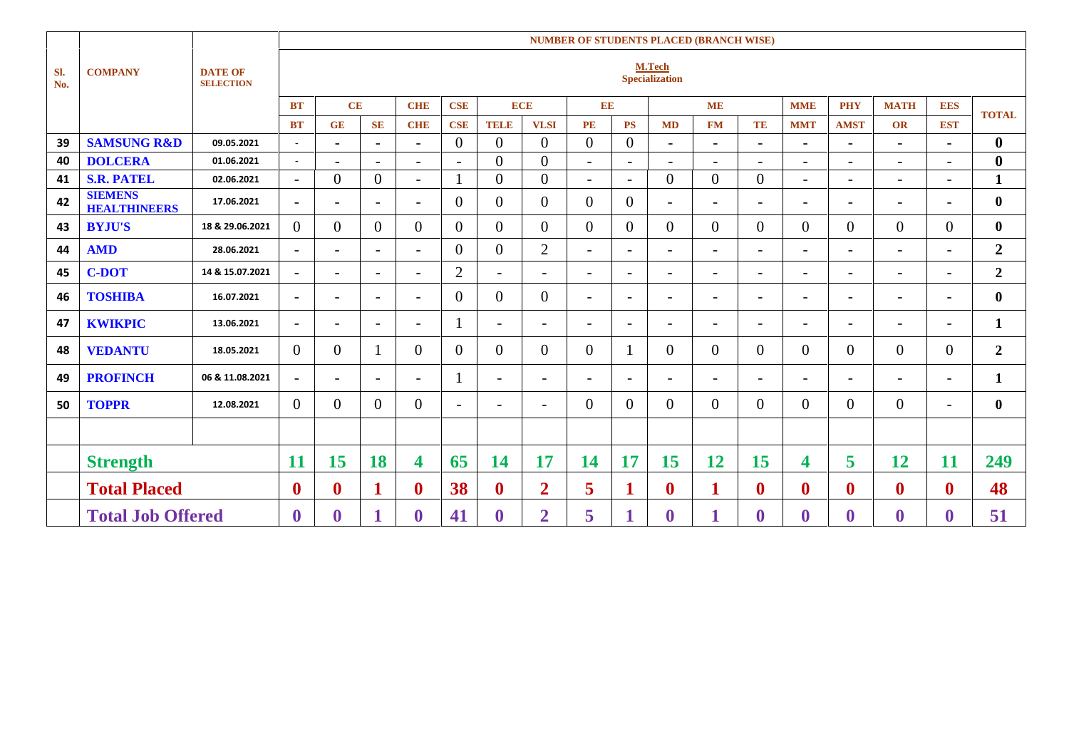|            |                                       |                                    |                          | <b>NUMBER OF STUDENTS PLACED (BRANCH WISE)</b> |                          |                          |                          |                          |                          |                          |                          |                          |                          |                          |                          |                          |                          |                          |                  |
|------------|---------------------------------------|------------------------------------|--------------------------|------------------------------------------------|--------------------------|--------------------------|--------------------------|--------------------------|--------------------------|--------------------------|--------------------------|--------------------------|--------------------------|--------------------------|--------------------------|--------------------------|--------------------------|--------------------------|------------------|
| SI.<br>No. | <b>COMPANY</b>                        | <b>DATE OF</b><br><b>SELECTION</b> |                          |                                                |                          |                          |                          |                          |                          |                          |                          | M.Tech<br>Specialization |                          |                          |                          |                          |                          |                          |                  |
|            |                                       |                                    | <b>BT</b>                | CE                                             |                          | <b>CHE</b>               | <b>CSE</b>               |                          | <b>ECE</b>               | EE                       |                          |                          | <b>ME</b>                |                          | <b>MME</b>               | <b>PHY</b>               | <b>MATH</b>              | <b>EES</b>               | <b>TOTAL</b>     |
|            |                                       |                                    | <b>BT</b>                | <b>GE</b>                                      | <b>SE</b>                | <b>CHE</b>               | <b>CSE</b>               | <b>TELE</b>              | <b>VLSI</b>              | PE                       | <b>PS</b>                | <b>MD</b>                | <b>FM</b>                | TE                       | <b>MMT</b>               | <b>AMST</b>              | <b>OR</b>                | <b>EST</b>               |                  |
| 39         | <b>SAMSUNG R&amp;D</b>                | 09.05.2021                         | $\sim$                   | $\overline{\phantom{a}}$                       | $\overline{\phantom{a}}$ | $\overline{\phantom{0}}$ | $\Omega$                 | $\overline{0}$           | $\overline{0}$           | $\mathbf{0}$             | $\overline{0}$           | $\overline{\phantom{0}}$ | $\sim$                   | $\overline{\phantom{a}}$ | $\overline{\phantom{0}}$ | $\overline{\phantom{a}}$ | $\overline{\phantom{0}}$ | $\overline{\phantom{a}}$ | $\bf{0}$         |
| 40         | <b>DOLCERA</b>                        | 01.06.2021                         | $\sim$                   | $\overline{\phantom{a}}$                       | $\overline{\phantom{a}}$ | $\overline{\phantom{0}}$ | $\overline{\phantom{a}}$ | $\overline{0}$           | $\overline{0}$           | $\overline{\phantom{a}}$ | $\overline{\phantom{a}}$ | $\overline{\phantom{a}}$ | $\blacksquare$           | $\overline{a}$           | $\overline{\phantom{a}}$ | $\overline{\phantom{a}}$ | $\overline{\phantom{0}}$ | $\overline{\phantom{a}}$ | $\boldsymbol{0}$ |
| 41         | <b>S.R. PATEL</b>                     | 02.06.2021                         | $\sim$                   | $\overline{0}$                                 | $\overline{0}$           | $\overline{\phantom{0}}$ |                          | $\overline{0}$           | $\overline{0}$           | $\overline{\phantom{a}}$ | $\sim$                   | $\overline{0}$           | $\overline{0}$           | $\overline{0}$           | $\overline{\phantom{0}}$ | $\overline{\phantom{a}}$ | $\overline{\phantom{a}}$ | $\overline{\phantom{a}}$ | $\mathbf{1}$     |
| 42         | <b>SIEMENS</b><br><b>HEALTHINEERS</b> | 17.06.2021                         | $\overline{\phantom{a}}$ | $\overline{\phantom{a}}$                       | $\overline{\phantom{a}}$ | $\overline{\phantom{0}}$ | $\Omega$                 | $\overline{0}$           | $\overline{0}$           | $\overline{0}$           | $\overline{0}$           | $\sim$                   | $\overline{\phantom{0}}$ | $\overline{\phantom{a}}$ | $\overline{\phantom{0}}$ | $\overline{\phantom{a}}$ | -                        | $\overline{\phantom{a}}$ | $\bf{0}$         |
| 43         | <b>BYJU'S</b>                         | 18 & 29.06.2021                    | $\overline{0}$           | 0                                              | $\Omega$                 | $\overline{0}$           | $\Omega$                 | $\Omega$                 | $\overline{0}$           | $\overline{0}$           | $\overline{0}$           | $\overline{0}$           | $\overline{0}$           | $\overline{0}$           | $\Omega$                 | $\overline{0}$           | $\overline{0}$           | $\overline{0}$           | $\mathbf{0}$     |
| 44         | <b>AMD</b>                            | 28.06.2021                         | $\overline{\phantom{a}}$ | $\overline{\phantom{0}}$                       | $\overline{\phantom{a}}$ | $\blacksquare$           | $\Omega$                 | $\boldsymbol{0}$         | $\overline{2}$           | $\overline{\phantom{a}}$ | $\overline{\phantom{a}}$ | $\overline{\phantom{a}}$ | $\overline{\phantom{a}}$ | $\overline{\phantom{a}}$ | $\overline{\phantom{a}}$ | $\overline{\phantom{a}}$ | -                        | $\overline{a}$           | $\overline{2}$   |
| 45         | <b>C-DOT</b>                          | 14 & 15.07.2021                    | $\sim$                   | $-$                                            | $\overline{\phantom{a}}$ | $\blacksquare$           | $\overline{2}$           | $\overline{\phantom{0}}$ | $\overline{\phantom{a}}$ | $\overline{\phantom{a}}$ | $\overline{\phantom{a}}$ | $\sim$                   | $\overline{\phantom{0}}$ | $-$                      | $\overline{\phantom{0}}$ | $\overline{\phantom{a}}$ | $\overline{\phantom{a}}$ | $\overline{\phantom{a}}$ | $\overline{2}$   |
| 46         | <b>TOSHIBA</b>                        | 16.07.2021                         | $\overline{\phantom{a}}$ | $\overline{\phantom{a}}$                       | $\overline{\phantom{a}}$ | $\overline{\phantom{0}}$ | $\Omega$                 | $\overline{0}$           | $\overline{0}$           | $\overline{\phantom{a}}$ | $\blacksquare$           | $\overline{\phantom{a}}$ | $\overline{\phantom{a}}$ | $\overline{\phantom{a}}$ | $\overline{\phantom{a}}$ | $\overline{\phantom{a}}$ | $\overline{\phantom{0}}$ | $\overline{\phantom{a}}$ | $\bf{0}$         |
| 47         | <b>KWIKPIC</b>                        | 13.06.2021                         | $\overline{\phantom{a}}$ | $\overline{\phantom{0}}$                       | $\overline{\phantom{a}}$ | $\overline{\phantom{0}}$ | $\perp$                  | $\overline{\phantom{0}}$ | $\overline{\phantom{a}}$ | $\overline{\phantom{a}}$ | $\overline{\phantom{a}}$ | $\overline{\phantom{a}}$ | $\overline{\phantom{a}}$ | $\overline{\phantom{0}}$ | $\overline{\phantom{a}}$ | $\overline{\phantom{a}}$ | $\overline{\phantom{0}}$ | $\overline{\phantom{a}}$ | 1                |
| 48         | <b>VEDANTU</b>                        | 18.05.2021                         | $\overline{0}$           | $\overline{0}$                                 |                          | $\Omega$                 | $\Omega$                 | $\theta$                 | $\overline{0}$           | $\overline{0}$           | $\mathbf{1}$             | $\overline{0}$           | $\overline{0}$           | $\Omega$                 | $\overline{0}$           | $\mathbf{0}$             | $\overline{0}$           | $\overline{0}$           | $\overline{2}$   |
| 49         | <b>PROFINCH</b>                       | 06 & 11.08.2021                    | $\overline{\phantom{a}}$ | $\overline{\phantom{a}}$                       | $\overline{\phantom{a}}$ | $\overline{\phantom{0}}$ |                          | $-$                      | $\overline{\phantom{a}}$ | $\overline{\phantom{a}}$ | $\overline{\phantom{a}}$ | $\overline{\phantom{a}}$ | $\overline{\phantom{a}}$ | $\overline{\phantom{0}}$ | $\overline{\phantom{0}}$ | $\blacksquare$           | $\overline{\phantom{0}}$ | $\overline{\phantom{a}}$ | 1                |
| 50         | <b>TOPPR</b>                          | 12.08.2021                         | $\overline{0}$           | 0                                              | $\Omega$                 | $\Omega$                 | $\overline{\phantom{a}}$ | $\overline{\phantom{a}}$ | $\overline{\phantom{a}}$ | $\theta$                 | $\overline{0}$           | $\overline{0}$           | $\overline{0}$           | $\theta$                 | $\Omega$                 | $\mathbf{0}$             | $\overline{0}$           | $\overline{\phantom{a}}$ | $\bf{0}$         |
|            | <b>Strength</b>                       |                                    | 11                       | 15                                             | 18                       | 4                        | 65                       | 14                       | 17                       | 14                       | 17                       | 15                       | 12                       | 15                       | 4                        | 5                        | 12                       | 11                       | 249              |
|            | <b>Total Placed</b>                   |                                    | $\bf{0}$                 | $\bf{0}$                                       |                          | $\bf{0}$                 | 38                       | $\bf{0}$                 | $\overline{2}$           | 5                        | $\mathbf{1}$             | $\boldsymbol{0}$         | $\mathbf{1}$             | $\mathbf 0$              | $\boldsymbol{0}$         | $\boldsymbol{0}$         | $\boldsymbol{0}$         | $\boldsymbol{0}$         | 48               |
|            | <b>Total Job Offered</b>              |                                    | $\boldsymbol{0}$         | 0                                              |                          | $\bf{0}$                 | 41                       | $\bf{0}$                 | $\overline{2}$           | 5                        | 1                        | $\boldsymbol{0}$         | 1                        | $\boldsymbol{0}$         | 0                        | $\boldsymbol{0}$         | $\bf{0}$                 | $\bf{0}$                 | 51               |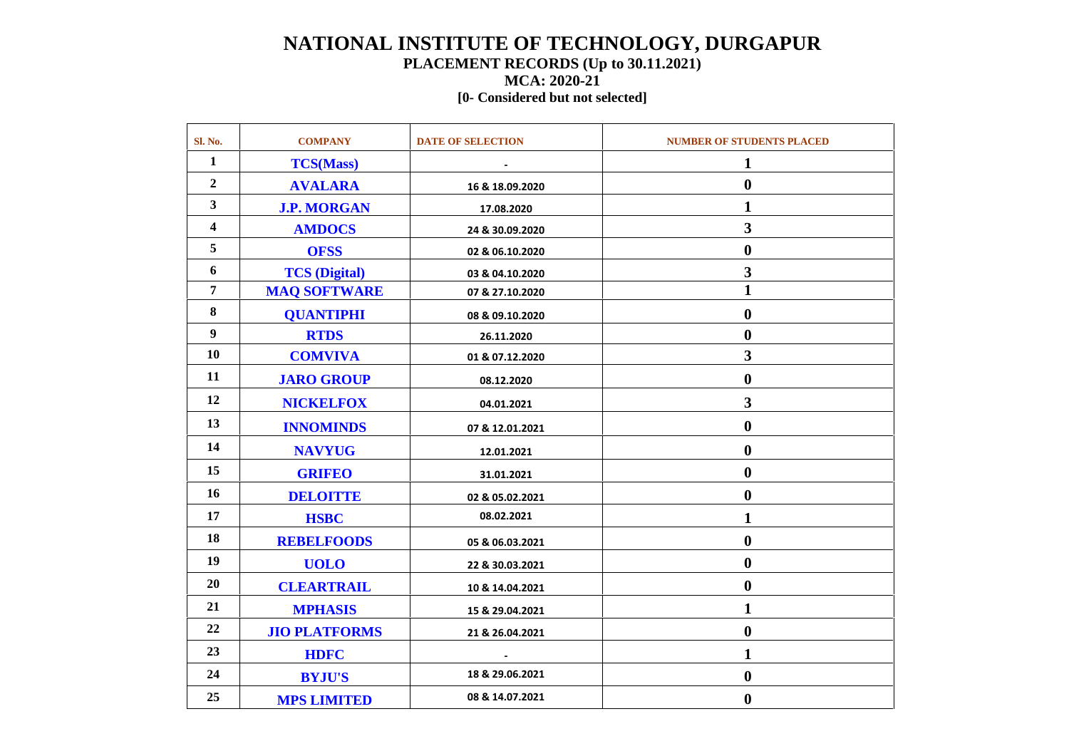### **NATIONAL INSTITUTE OF TECHNOLOGY, DURGAPUR PLACEMENT RECORDS (Up to 30.11.2021) MCA: 2020-21**

#### **[0- Considered but not selected]**

| Sl. No.                 | <b>COMPANY</b>       | <b>DATE OF SELECTION</b> | <b>NUMBER OF STUDENTS PLACED</b> |
|-------------------------|----------------------|--------------------------|----------------------------------|
| $\mathbf{1}$            | <b>TCS(Mass)</b>     |                          | 1                                |
| $\overline{2}$          | <b>AVALARA</b>       | 16 & 18.09.2020          | $\boldsymbol{0}$                 |
| $\mathbf{3}$            | <b>J.P. MORGAN</b>   | 17.08.2020               | $\mathbf{1}$                     |
| $\overline{\mathbf{4}}$ | <b>AMDOCS</b>        | 24 & 30.09.2020          | $\overline{\mathbf{3}}$          |
| 5                       | <b>OFSS</b>          | 02 & 06.10.2020          | $\boldsymbol{0}$                 |
| 6                       | <b>TCS</b> (Digital) | 03 & 04.10.2020          | $\overline{\mathbf{3}}$          |
| 7                       | <b>MAQ SOFTWARE</b>  | 07 & 27.10.2020          | $\mathbf{1}$                     |
| 8                       | <b>QUANTIPHI</b>     | 08 & 09.10.2020          | $\boldsymbol{0}$                 |
| 9                       | <b>RTDS</b>          | 26.11.2020               | $\boldsymbol{0}$                 |
| 10                      | <b>COMVIVA</b>       | 01 & 07.12.2020          | $\overline{\mathbf{3}}$          |
| 11                      | <b>JARO GROUP</b>    | 08.12.2020               | $\boldsymbol{0}$                 |
| 12                      | <b>NICKELFOX</b>     | 04.01.2021               | $\overline{\mathbf{3}}$          |
| 13                      | <b>INNOMINDS</b>     | 07 & 12.01.2021          | $\boldsymbol{0}$                 |
| 14                      | <b>NAVYUG</b>        | 12.01.2021               | $\boldsymbol{0}$                 |
| 15                      | <b>GRIFEO</b>        | 31.01.2021               | $\boldsymbol{0}$                 |
| 16                      | <b>DELOITTE</b>      | 02 & 05.02.2021          | $\bf{0}$                         |
| 17                      | <b>HSBC</b>          | 08.02.2021               | $\mathbf{1}$                     |
| 18                      | <b>REBELFOODS</b>    | 05 & 06.03.2021          | $\boldsymbol{0}$                 |
| 19                      | <b>UOLO</b>          | 22 & 30.03.2021          | $\boldsymbol{0}$                 |
| 20                      | <b>CLEARTRAIL</b>    | 10 & 14.04.2021          | $\boldsymbol{0}$                 |
| 21                      | <b>MPHASIS</b>       | 15 & 29.04.2021          | $\mathbf{1}$                     |
| 22                      | <b>JIO PLATFORMS</b> | 21 & 26.04.2021          | $\boldsymbol{0}$                 |
| 23                      | <b>HDFC</b>          |                          | $\mathbf{1}$                     |
| 24                      | <b>BYJU'S</b>        | 18 & 29.06.2021          | $\boldsymbol{0}$                 |
| 25                      | <b>MPS LIMITED</b>   | 08 & 14.07.2021          | $\boldsymbol{0}$                 |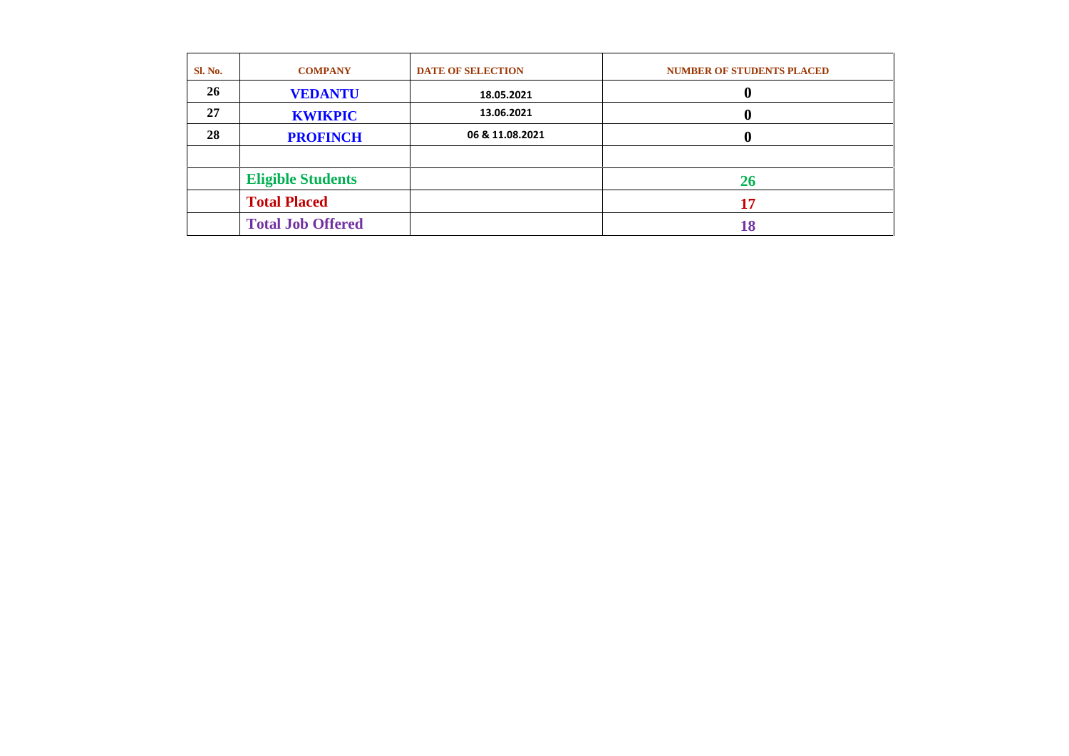| <b>Sl. No.</b> | <b>COMPANY</b>           | <b>DATE OF SELECTION</b> | <b>NUMBER OF STUDENTS PLACED</b> |
|----------------|--------------------------|--------------------------|----------------------------------|
| 26             | <b>VEDANTU</b>           | 18.05.2021               |                                  |
| 27             | <b>KWIKPIC</b>           | 13.06.2021               |                                  |
| 28             | <b>PROFINCH</b>          | 06 & 11.08.2021          |                                  |
|                |                          |                          |                                  |
|                | <b>Eligible Students</b> |                          | <b>26</b>                        |
|                | <b>Total Placed</b>      |                          | 17                               |
|                | <b>Total Job Offered</b> |                          | 18                               |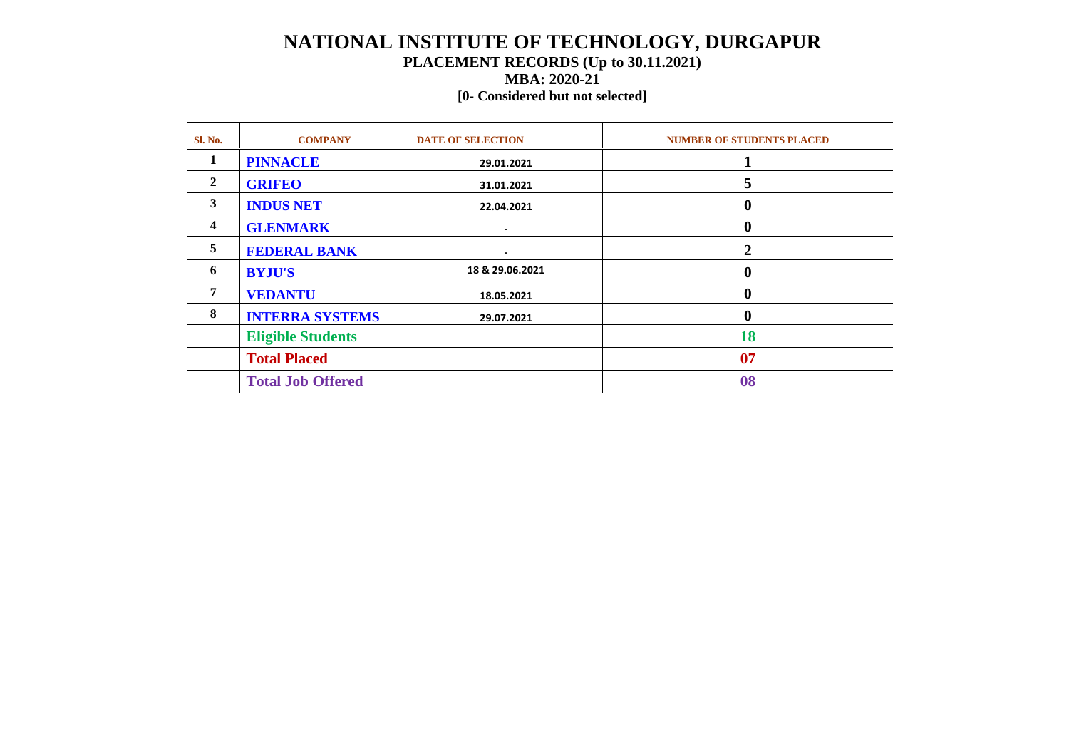### **NATIONAL INSTITUTE OF TECHNOLOGY, DURGAPUR PLACEMENT RECORDS (Up to 30.11.2021) MBA: 2020-21**

#### **[0- Considered but not selected]**

| <b>Sl. No.</b> | <b>COMPANY</b>           | <b>DATE OF SELECTION</b> | <b>NUMBER OF STUDENTS PLACED</b> |
|----------------|--------------------------|--------------------------|----------------------------------|
| 1              | <b>PINNACLE</b>          | 29.01.2021               |                                  |
| 2              | <b>GRIFEO</b>            | 31.01.2021               | 5                                |
| 3              | <b>INDUS NET</b>         | 22.04.2021               | 0                                |
| 4              | <b>GLENMARK</b>          |                          | 0                                |
| 5              | <b>FEDERAL BANK</b>      |                          |                                  |
| 6              | <b>BYJU'S</b>            | 18 & 29.06.2021          |                                  |
| 7              | <b>VEDANTU</b>           | 18.05.2021               |                                  |
| 8              | <b>INTERRA SYSTEMS</b>   | 29.07.2021               |                                  |
|                | <b>Eligible Students</b> |                          | 18                               |
|                | <b>Total Placed</b>      |                          | 07                               |
|                | <b>Total Job Offered</b> |                          | 08                               |